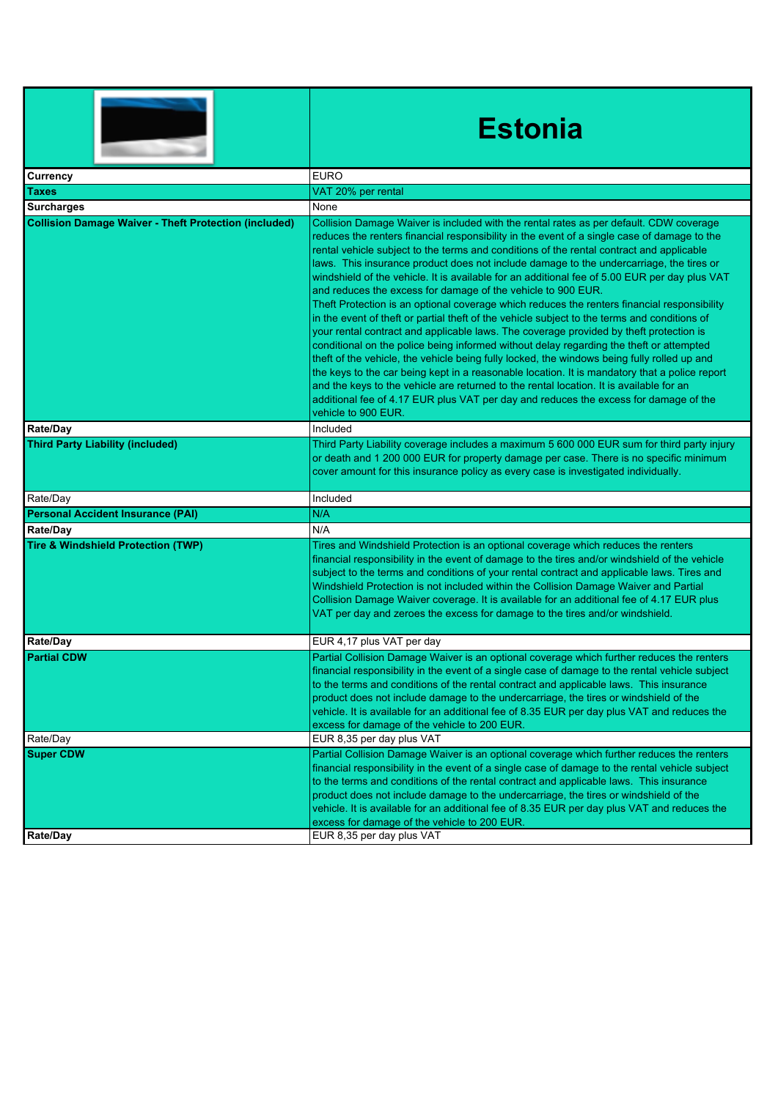|                                                              | <b>Estonia</b>                                                                                                                                                                                                                                                                                                                                                                                                                                                                                                                                                                                                                                                                                                                                                                                                                                                                                                                                                                                                                                                                                                                                                                                                                                                                                                                              |
|--------------------------------------------------------------|---------------------------------------------------------------------------------------------------------------------------------------------------------------------------------------------------------------------------------------------------------------------------------------------------------------------------------------------------------------------------------------------------------------------------------------------------------------------------------------------------------------------------------------------------------------------------------------------------------------------------------------------------------------------------------------------------------------------------------------------------------------------------------------------------------------------------------------------------------------------------------------------------------------------------------------------------------------------------------------------------------------------------------------------------------------------------------------------------------------------------------------------------------------------------------------------------------------------------------------------------------------------------------------------------------------------------------------------|
| Currency                                                     | <b>EURO</b>                                                                                                                                                                                                                                                                                                                                                                                                                                                                                                                                                                                                                                                                                                                                                                                                                                                                                                                                                                                                                                                                                                                                                                                                                                                                                                                                 |
| Taxes                                                        | VAT 20% per rental                                                                                                                                                                                                                                                                                                                                                                                                                                                                                                                                                                                                                                                                                                                                                                                                                                                                                                                                                                                                                                                                                                                                                                                                                                                                                                                          |
| <b>Surcharges</b>                                            | None                                                                                                                                                                                                                                                                                                                                                                                                                                                                                                                                                                                                                                                                                                                                                                                                                                                                                                                                                                                                                                                                                                                                                                                                                                                                                                                                        |
| <b>Collision Damage Waiver - Theft Protection (included)</b> | Collision Damage Waiver is included with the rental rates as per default. CDW coverage<br>reduces the renters financial responsibility in the event of a single case of damage to the<br>rental vehicle subject to the terms and conditions of the rental contract and applicable<br>laws. This insurance product does not include damage to the undercarriage, the tires or<br>windshield of the vehicle. It is available for an additional fee of 5.00 EUR per day plus VAT<br>and reduces the excess for damage of the vehicle to 900 EUR.<br>Theft Protection is an optional coverage which reduces the renters financial responsibility<br>in the event of theft or partial theft of the vehicle subject to the terms and conditions of<br>your rental contract and applicable laws. The coverage provided by theft protection is<br>conditional on the police being informed without delay regarding the theft or attempted<br>theft of the vehicle, the vehicle being fully locked, the windows being fully rolled up and<br>the keys to the car being kept in a reasonable location. It is mandatory that a police report<br>and the keys to the vehicle are returned to the rental location. It is available for an<br>additional fee of 4.17 EUR plus VAT per day and reduces the excess for damage of the<br>vehicle to 900 EUR. |
| <b>Rate/Day</b>                                              | Included                                                                                                                                                                                                                                                                                                                                                                                                                                                                                                                                                                                                                                                                                                                                                                                                                                                                                                                                                                                                                                                                                                                                                                                                                                                                                                                                    |
| <b>Third Party Liability (included)</b>                      | Third Party Liability coverage includes a maximum 5 600 000 EUR sum for third party injury<br>or death and 1 200 000 EUR for property damage per case. There is no specific minimum<br>cover amount for this insurance policy as every case is investigated individually.                                                                                                                                                                                                                                                                                                                                                                                                                                                                                                                                                                                                                                                                                                                                                                                                                                                                                                                                                                                                                                                                   |
| Rate/Day                                                     | Included                                                                                                                                                                                                                                                                                                                                                                                                                                                                                                                                                                                                                                                                                                                                                                                                                                                                                                                                                                                                                                                                                                                                                                                                                                                                                                                                    |
| <b>Personal Accident Insurance (PAI)</b>                     | N/A                                                                                                                                                                                                                                                                                                                                                                                                                                                                                                                                                                                                                                                                                                                                                                                                                                                                                                                                                                                                                                                                                                                                                                                                                                                                                                                                         |
| Rate/Day                                                     | N/A                                                                                                                                                                                                                                                                                                                                                                                                                                                                                                                                                                                                                                                                                                                                                                                                                                                                                                                                                                                                                                                                                                                                                                                                                                                                                                                                         |
| <b>Tire &amp; Windshield Protection (TWP)</b>                | Tires and Windshield Protection is an optional coverage which reduces the renters<br>financial responsibility in the event of damage to the tires and/or windshield of the vehicle<br>subject to the terms and conditions of your rental contract and applicable laws. Tires and<br>Windshield Protection is not included within the Collision Damage Waiver and Partial<br>Collision Damage Waiver coverage. It is available for an additional fee of 4.17 EUR plus<br>VAT per day and zeroes the excess for damage to the tires and/or windshield.                                                                                                                                                                                                                                                                                                                                                                                                                                                                                                                                                                                                                                                                                                                                                                                        |
| Rate/Day                                                     | EUR 4,17 plus VAT per day                                                                                                                                                                                                                                                                                                                                                                                                                                                                                                                                                                                                                                                                                                                                                                                                                                                                                                                                                                                                                                                                                                                                                                                                                                                                                                                   |
| <b>Partial CDW</b>                                           | Partial Collision Damage Waiver is an optional coverage which further reduces the renters<br>financial responsibility in the event of a single case of damage to the rental vehicle subject<br>to the terms and conditions of the rental contract and applicable laws. This insurance<br>product does not include damage to the undercarriage, the tires or windshield of the<br>vehicle. It is available for an additional fee of 8.35 EUR per day plus VAT and reduces the<br>excess for damage of the vehicle to 200 EUR.                                                                                                                                                                                                                                                                                                                                                                                                                                                                                                                                                                                                                                                                                                                                                                                                                |
| Rate/Day                                                     | EUR 8,35 per day plus VAT                                                                                                                                                                                                                                                                                                                                                                                                                                                                                                                                                                                                                                                                                                                                                                                                                                                                                                                                                                                                                                                                                                                                                                                                                                                                                                                   |
| <b>Super CDW</b>                                             | Partial Collision Damage Waiver is an optional coverage which further reduces the renters<br>financial responsibility in the event of a single case of damage to the rental vehicle subject<br>to the terms and conditions of the rental contract and applicable laws. This insurance<br>product does not include damage to the undercarriage, the tires or windshield of the<br>vehicle. It is available for an additional fee of 8.35 EUR per day plus VAT and reduces the<br>excess for damage of the vehicle to 200 EUR.                                                                                                                                                                                                                                                                                                                                                                                                                                                                                                                                                                                                                                                                                                                                                                                                                |
| <b>Rate/Day</b>                                              | EUR 8,35 per day plus VAT                                                                                                                                                                                                                                                                                                                                                                                                                                                                                                                                                                                                                                                                                                                                                                                                                                                                                                                                                                                                                                                                                                                                                                                                                                                                                                                   |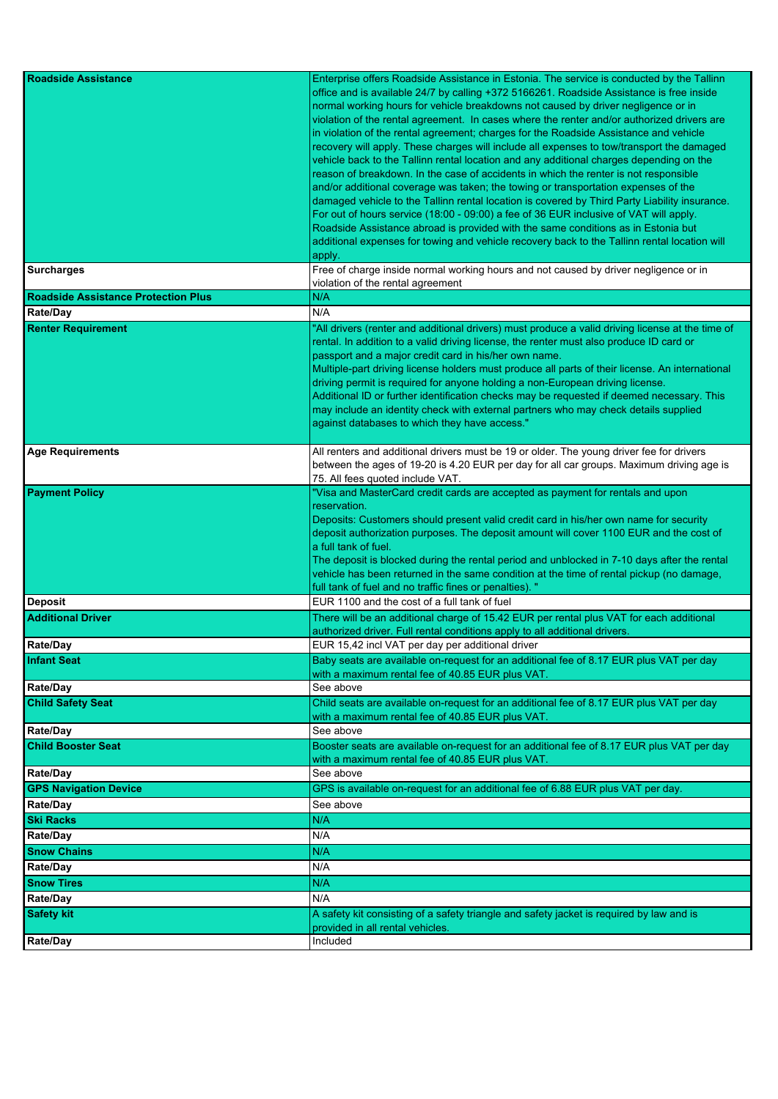| <b>Roadside Assistance</b>                 | Enterprise offers Roadside Assistance in Estonia. The service is conducted by the Tallinn<br>office and is available 24/7 by calling +372 5166261. Roadside Assistance is free inside<br>normal working hours for vehicle breakdowns not caused by driver negligence or in                                                                                                                                                                                                                                                                                                                                                                                                                                                                                                                                                                                                                                                                         |
|--------------------------------------------|----------------------------------------------------------------------------------------------------------------------------------------------------------------------------------------------------------------------------------------------------------------------------------------------------------------------------------------------------------------------------------------------------------------------------------------------------------------------------------------------------------------------------------------------------------------------------------------------------------------------------------------------------------------------------------------------------------------------------------------------------------------------------------------------------------------------------------------------------------------------------------------------------------------------------------------------------|
|                                            | violation of the rental agreement. In cases where the renter and/or authorized drivers are<br>in violation of the rental agreement; charges for the Roadside Assistance and vehicle<br>recovery will apply. These charges will include all expenses to tow/transport the damaged<br>vehicle back to the Tallinn rental location and any additional charges depending on the<br>reason of breakdown. In the case of accidents in which the renter is not responsible<br>and/or additional coverage was taken; the towing or transportation expenses of the<br>damaged vehicle to the Tallinn rental location is covered by Third Party Liability insurance.<br>For out of hours service (18:00 - 09:00) a fee of 36 EUR inclusive of VAT will apply.<br>Roadside Assistance abroad is provided with the same conditions as in Estonia but<br>additional expenses for towing and vehicle recovery back to the Tallinn rental location will<br>apply. |
| <b>Surcharges</b>                          | Free of charge inside normal working hours and not caused by driver negligence or in<br>violation of the rental agreement                                                                                                                                                                                                                                                                                                                                                                                                                                                                                                                                                                                                                                                                                                                                                                                                                          |
| <b>Roadside Assistance Protection Plus</b> | N/A                                                                                                                                                                                                                                                                                                                                                                                                                                                                                                                                                                                                                                                                                                                                                                                                                                                                                                                                                |
| Rate/Day                                   | N/A                                                                                                                                                                                                                                                                                                                                                                                                                                                                                                                                                                                                                                                                                                                                                                                                                                                                                                                                                |
| <b>Renter Requirement</b>                  | "All drivers (renter and additional drivers) must produce a valid driving license at the time of<br>rental. In addition to a valid driving license, the renter must also produce ID card or<br>passport and a major credit card in his/her own name.<br>Multiple-part driving license holders must produce all parts of their license. An international<br>driving permit is required for anyone holding a non-European driving license.<br>Additional ID or further identification checks may be requested if deemed necessary. This<br>may include an identity check with external partners who may check details supplied<br>against databases to which they have access."                                                                                                                                                                                                                                                                      |
| <b>Age Requirements</b>                    | All renters and additional drivers must be 19 or older. The young driver fee for drivers<br>between the ages of 19-20 is 4.20 EUR per day for all car groups. Maximum driving age is<br>75. All fees quoted include VAT.                                                                                                                                                                                                                                                                                                                                                                                                                                                                                                                                                                                                                                                                                                                           |
| <b>Payment Policy</b>                      | "Visa and MasterCard credit cards are accepted as payment for rentals and upon<br>reservation.<br>Deposits: Customers should present valid credit card in his/her own name for security<br>deposit authorization purposes. The deposit amount will cover 1100 EUR and the cost of<br>a full tank of fuel.<br>The deposit is blocked during the rental period and unblocked in 7-10 days after the rental<br>vehicle has been returned in the same condition at the time of rental pickup (no damage,<br>full tank of fuel and no traffic fines or penalties). "                                                                                                                                                                                                                                                                                                                                                                                    |
| Deposit                                    | EUR 1100 and the cost of a full tank of fuel                                                                                                                                                                                                                                                                                                                                                                                                                                                                                                                                                                                                                                                                                                                                                                                                                                                                                                       |
| <b>Additional Driver</b>                   | There will be an additional charge of 15.42 EUR per rental plus VAT for each additional<br>authorized driver. Full rental conditions apply to all additional drivers.                                                                                                                                                                                                                                                                                                                                                                                                                                                                                                                                                                                                                                                                                                                                                                              |
| Rate/Day                                   | EUR 15,42 incl VAT per day per additional driver                                                                                                                                                                                                                                                                                                                                                                                                                                                                                                                                                                                                                                                                                                                                                                                                                                                                                                   |
| <b>Infant Seat</b>                         | Baby seats are available on-request for an additional fee of 8.17 EUR plus VAT per day<br>with a maximum rental fee of 40.85 EUR plus VAT.                                                                                                                                                                                                                                                                                                                                                                                                                                                                                                                                                                                                                                                                                                                                                                                                         |
| <b>Rate/Day</b>                            | See above                                                                                                                                                                                                                                                                                                                                                                                                                                                                                                                                                                                                                                                                                                                                                                                                                                                                                                                                          |
| <b>Child Safety Seat</b>                   | Child seats are available on-request for an additional fee of 8.17 EUR plus VAT per day<br>with a maximum rental fee of 40.85 EUR plus VAT.                                                                                                                                                                                                                                                                                                                                                                                                                                                                                                                                                                                                                                                                                                                                                                                                        |
| <b>Rate/Day</b>                            | See above                                                                                                                                                                                                                                                                                                                                                                                                                                                                                                                                                                                                                                                                                                                                                                                                                                                                                                                                          |
| <b>Child Booster Seat</b>                  | Booster seats are available on-request for an additional fee of 8.17 EUR plus VAT per day<br>with a maximum rental fee of 40.85 EUR plus VAT.                                                                                                                                                                                                                                                                                                                                                                                                                                                                                                                                                                                                                                                                                                                                                                                                      |
| <b>Rate/Day</b>                            | See above                                                                                                                                                                                                                                                                                                                                                                                                                                                                                                                                                                                                                                                                                                                                                                                                                                                                                                                                          |
| <b>GPS Navigation Device</b>               | GPS is available on-request for an additional fee of 6.88 EUR plus VAT per day.                                                                                                                                                                                                                                                                                                                                                                                                                                                                                                                                                                                                                                                                                                                                                                                                                                                                    |
| <b>Rate/Day</b>                            | See above                                                                                                                                                                                                                                                                                                                                                                                                                                                                                                                                                                                                                                                                                                                                                                                                                                                                                                                                          |
| <b>Ski Racks</b>                           | N/A                                                                                                                                                                                                                                                                                                                                                                                                                                                                                                                                                                                                                                                                                                                                                                                                                                                                                                                                                |
| Rate/Day                                   | N/A                                                                                                                                                                                                                                                                                                                                                                                                                                                                                                                                                                                                                                                                                                                                                                                                                                                                                                                                                |
| <b>Snow Chains</b>                         | N/A                                                                                                                                                                                                                                                                                                                                                                                                                                                                                                                                                                                                                                                                                                                                                                                                                                                                                                                                                |
| <b>Rate/Day</b>                            | N/A                                                                                                                                                                                                                                                                                                                                                                                                                                                                                                                                                                                                                                                                                                                                                                                                                                                                                                                                                |
| <b>Snow Tires</b>                          | N/A                                                                                                                                                                                                                                                                                                                                                                                                                                                                                                                                                                                                                                                                                                                                                                                                                                                                                                                                                |
| Rate/Day                                   | N/A                                                                                                                                                                                                                                                                                                                                                                                                                                                                                                                                                                                                                                                                                                                                                                                                                                                                                                                                                |
| <b>Safety kit</b>                          | A safety kit consisting of a safety triangle and safety jacket is required by law and is<br>provided in all rental vehicles.                                                                                                                                                                                                                                                                                                                                                                                                                                                                                                                                                                                                                                                                                                                                                                                                                       |
| Rate/Day                                   | Included                                                                                                                                                                                                                                                                                                                                                                                                                                                                                                                                                                                                                                                                                                                                                                                                                                                                                                                                           |